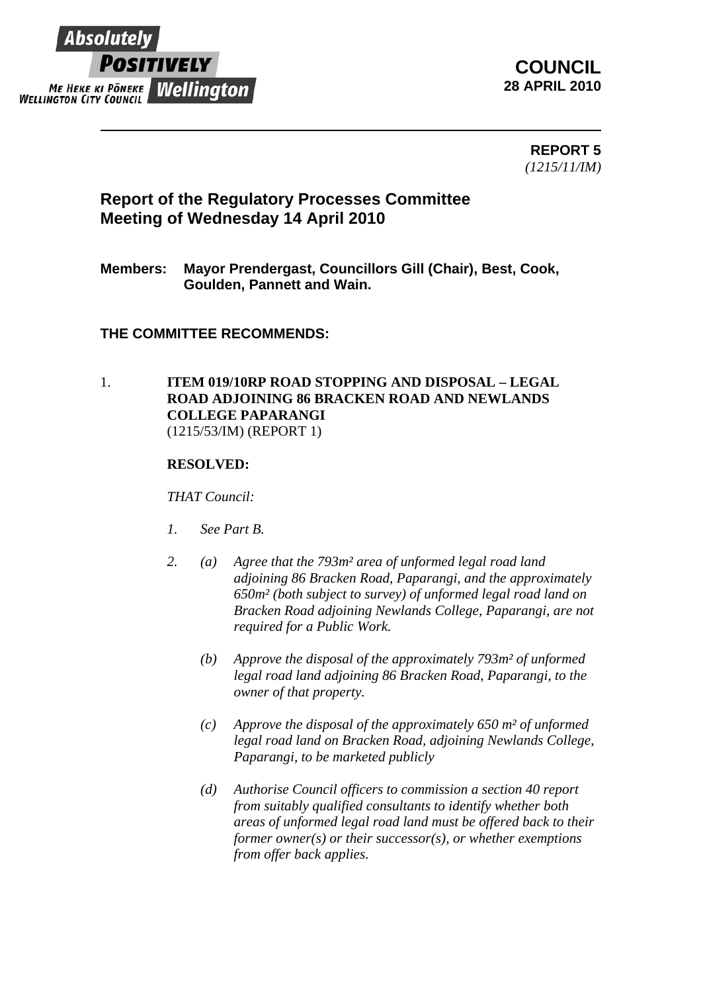

**COUNCIL 28 APRIL 2010**

> **REPORT 5**  *(1215/11/IM)*

# **Report of the Regulatory Processes Committee Meeting of Wednesday 14 April 2010**

## **Members: Mayor Prendergast, Councillors Gill (Chair), Best, Cook, Goulden, Pannett and Wain.**

### **THE COMMITTEE RECOMMENDS:**

#### 1. **ITEM 019/10RP ROAD STOPPING AND DISPOSAL – LEGAL ROAD ADJOINING 86 BRACKEN ROAD AND NEWLANDS COLLEGE PAPARANGI**  (1215/53/IM) (REPORT 1)

#### **RESOLVED:**

#### *THAT Council:*

- *1. See Part B.*
- *2. (a) Agree that the 793m² area of unformed legal road land adjoining 86 Bracken Road, Paparangi, and the approximately 650m² (both subject to survey) of unformed legal road land on Bracken Road adjoining Newlands College, Paparangi, are not required for a Public Work.* 
	- *(b) Approve the disposal of the approximately 793m² of unformed legal road land adjoining 86 Bracken Road, Paparangi, to the owner of that property.*
	- *(c) Approve the disposal of the approximately 650 m² of unformed legal road land on Bracken Road, adjoining Newlands College, Paparangi, to be marketed publicly*
	- *(d) Authorise Council officers to commission a section 40 report from suitably qualified consultants to identify whether both areas of unformed legal road land must be offered back to their former owner(s) or their successor(s), or whether exemptions from offer back applies.*